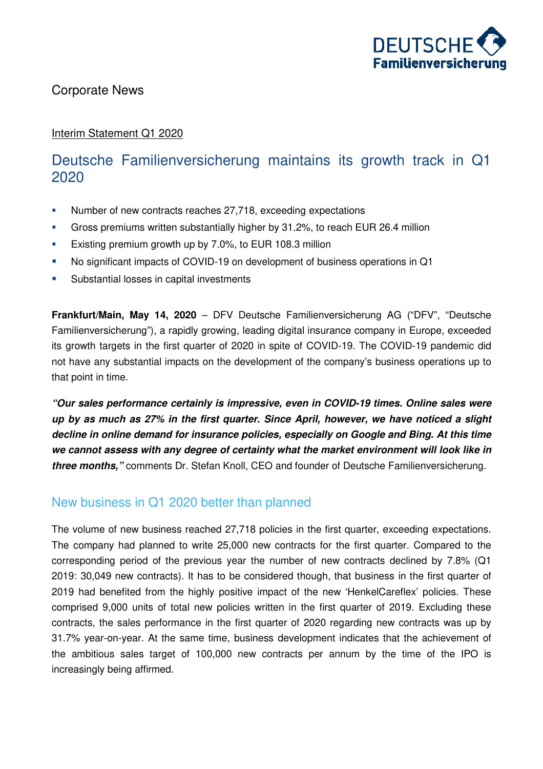

### Corporate News

#### Interim Statement Q1 2020

## Deutsche Familienversicherung maintains its growth track in Q1 2020

- Number of new contracts reaches 27,718, exceeding expectations
- Gross premiums written substantially higher by 31.2%, to reach EUR 26.4 million
- **Existing premium growth up by 7.0%, to EUR 108.3 million**
- No significant impacts of COVID-19 on development of business operations in Q1
- **Substantial losses in capital investments**

**Frankfurt/Main, May 14, 2020** – DFV Deutsche Familienversicherung AG ("DFV", "Deutsche Familienversicherung"), a rapidly growing, leading digital insurance company in Europe, exceeded its growth targets in the first quarter of 2020 in spite of COVID-19. The COVID-19 pandemic did not have any substantial impacts on the development of the company's business operations up to that point in time.

**"Our sales performance certainly is impressive, even in COVID-19 times. Online sales were up by as much as 27% in the first quarter. Since April, however, we have noticed a slight decline in online demand for insurance policies, especially on Google and Bing. At this time we cannot assess with any degree of certainty what the market environment will look like in three months,"** comments Dr. Stefan Knoll, CEO and founder of Deutsche Familienversicherung.

## New business in Q1 2020 better than planned

The volume of new business reached 27,718 policies in the first quarter, exceeding expectations. The company had planned to write 25,000 new contracts for the first quarter. Compared to the corresponding period of the previous year the number of new contracts declined by 7.8% (Q1 2019: 30,049 new contracts). It has to be considered though, that business in the first quarter of 2019 had benefited from the highly positive impact of the new 'HenkelCareflex' policies. These comprised 9,000 units of total new policies written in the first quarter of 2019. Excluding these contracts, the sales performance in the first quarter of 2020 regarding new contracts was up by 31.7% year-on-year. At the same time, business development indicates that the achievement of the ambitious sales target of 100,000 new contracts per annum by the time of the IPO is increasingly being affirmed.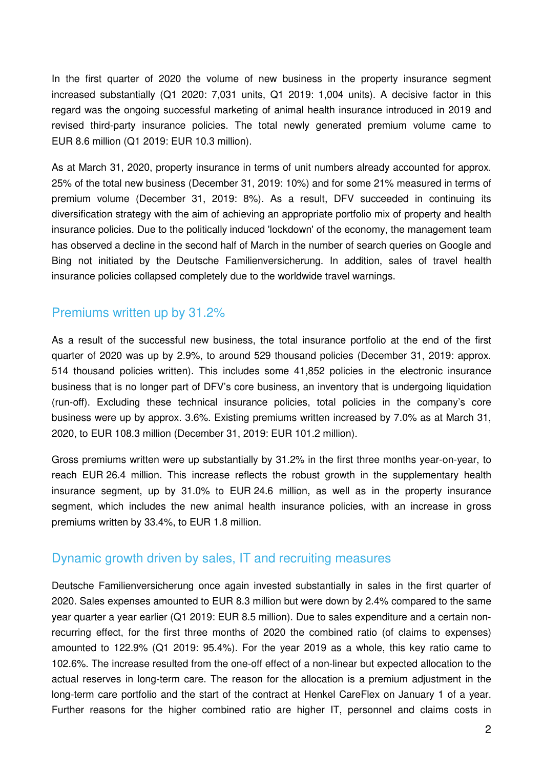In the first quarter of 2020 the volume of new business in the property insurance segment increased substantially (Q1 2020: 7,031 units, Q1 2019: 1,004 units). A decisive factor in this regard was the ongoing successful marketing of animal health insurance introduced in 2019 and revised third-party insurance policies. The total newly generated premium volume came to EUR 8.6 million (Q1 2019: EUR 10.3 million).

As at March 31, 2020, property insurance in terms of unit numbers already accounted for approx. 25% of the total new business (December 31, 2019: 10%) and for some 21% measured in terms of premium volume (December 31, 2019: 8%). As a result, DFV succeeded in continuing its diversification strategy with the aim of achieving an appropriate portfolio mix of property and health insurance policies. Due to the politically induced 'lockdown' of the economy, the management team has observed a decline in the second half of March in the number of search queries on Google and Bing not initiated by the Deutsche Familienversicherung. In addition, sales of travel health insurance policies collapsed completely due to the worldwide travel warnings.

## Premiums written up by 31.2%

As a result of the successful new business, the total insurance portfolio at the end of the first quarter of 2020 was up by 2.9%, to around 529 thousand policies (December 31, 2019: approx. 514 thousand policies written). This includes some 41,852 policies in the electronic insurance business that is no longer part of DFV's core business, an inventory that is undergoing liquidation (run-off). Excluding these technical insurance policies, total policies in the company's core business were up by approx. 3.6%. Existing premiums written increased by 7.0% as at March 31, 2020, to EUR 108.3 million (December 31, 2019: EUR 101.2 million).

Gross premiums written were up substantially by 31.2% in the first three months year-on-year, to reach EUR 26.4 million. This increase reflects the robust growth in the supplementary health insurance segment, up by 31.0% to EUR 24.6 million, as well as in the property insurance segment, which includes the new animal health insurance policies, with an increase in gross premiums written by 33.4%, to EUR 1.8 million.

#### Dynamic growth driven by sales, IT and recruiting measures

Deutsche Familienversicherung once again invested substantially in sales in the first quarter of 2020. Sales expenses amounted to EUR 8.3 million but were down by 2.4% compared to the same year quarter a year earlier (Q1 2019: EUR 8.5 million). Due to sales expenditure and a certain nonrecurring effect, for the first three months of 2020 the combined ratio (of claims to expenses) amounted to 122.9% (Q1 2019: 95.4%). For the year 2019 as a whole, this key ratio came to 102.6%. The increase resulted from the one-off effect of a non-linear but expected allocation to the actual reserves in long-term care. The reason for the allocation is a premium adjustment in the long-term care portfolio and the start of the contract at Henkel CareFlex on January 1 of a year. Further reasons for the higher combined ratio are higher IT, personnel and claims costs in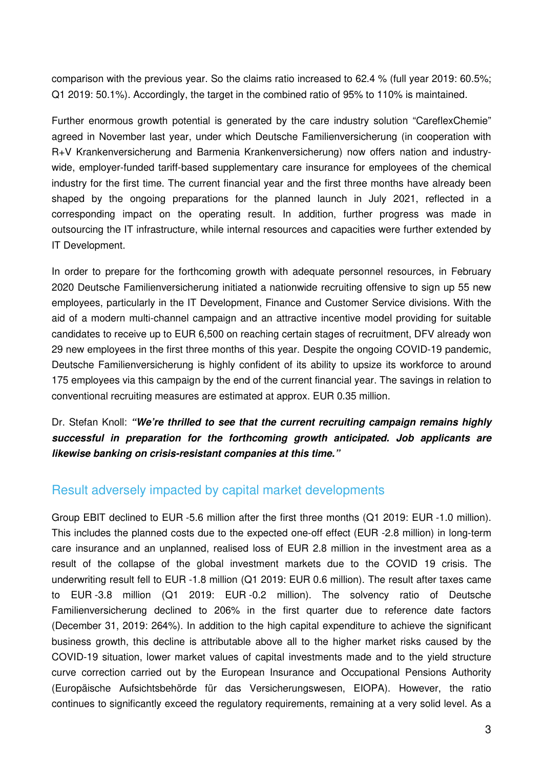comparison with the previous year. So the claims ratio increased to 62.4 % (full year 2019: 60.5%; Q1 2019: 50.1%). Accordingly, the target in the combined ratio of 95% to 110% is maintained.

Further enormous growth potential is generated by the care industry solution "CareflexChemie" agreed in November last year, under which Deutsche Familienversicherung (in cooperation with R+V Krankenversicherung and Barmenia Krankenversicherung) now offers nation and industrywide, employer-funded tariff-based supplementary care insurance for employees of the chemical industry for the first time. The current financial year and the first three months have already been shaped by the ongoing preparations for the planned launch in July 2021, reflected in a corresponding impact on the operating result. In addition, further progress was made in outsourcing the IT infrastructure, while internal resources and capacities were further extended by IT Development.

In order to prepare for the forthcoming growth with adequate personnel resources, in February 2020 Deutsche Familienversicherung initiated a nationwide recruiting offensive to sign up 55 new employees, particularly in the IT Development, Finance and Customer Service divisions. With the aid of a modern multi-channel campaign and an attractive incentive model providing for suitable candidates to receive up to EUR 6,500 on reaching certain stages of recruitment, DFV already won 29 new employees in the first three months of this year. Despite the ongoing COVID-19 pandemic, Deutsche Familienversicherung is highly confident of its ability to upsize its workforce to around 175 employees via this campaign by the end of the current financial year. The savings in relation to conventional recruiting measures are estimated at approx. EUR 0.35 million.

Dr. Stefan Knoll: **"We're thrilled to see that the current recruiting campaign remains highly successful in preparation for the forthcoming growth anticipated. Job applicants are likewise banking on crisis-resistant companies at this time."**

#### Result adversely impacted by capital market developments

Group EBIT declined to EUR -5.6 million after the first three months (Q1 2019: EUR -1.0 million). This includes the planned costs due to the expected one-off effect (EUR -2.8 million) in long-term care insurance and an unplanned, realised loss of EUR 2.8 million in the investment area as a result of the collapse of the global investment markets due to the COVID 19 crisis. The underwriting result fell to EUR -1.8 million (Q1 2019: EUR 0.6 million). The result after taxes came to EUR -3.8 million (Q1 2019: EUR -0.2 million). The solvency ratio of Deutsche Familienversicherung declined to 206% in the first quarter due to reference date factors (December 31, 2019: 264%). In addition to the high capital expenditure to achieve the significant business growth, this decline is attributable above all to the higher market risks caused by the COVID-19 situation, lower market values of capital investments made and to the yield structure curve correction carried out by the European Insurance and Occupational Pensions Authority (Europäische Aufsichtsbehörde für das Versicherungswesen, EIOPA). However, the ratio continues to significantly exceed the regulatory requirements, remaining at a very solid level. As a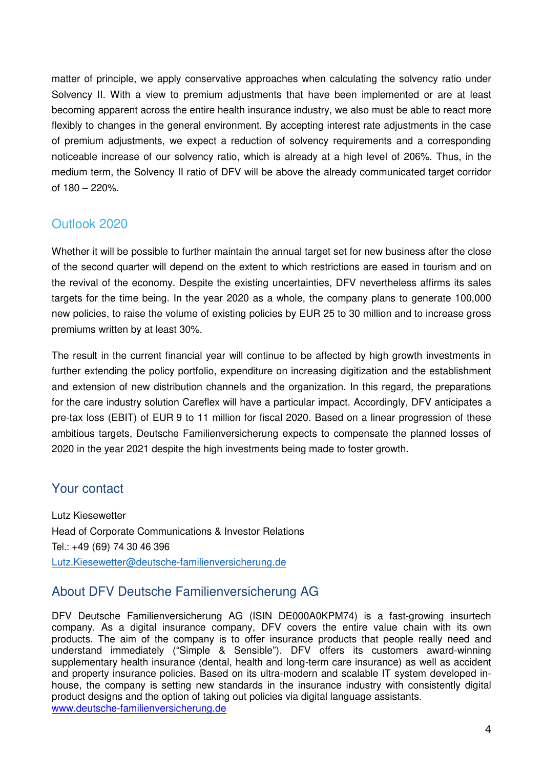matter of principle, we apply conservative approaches when calculating the solvency ratio under Solvency II. With a view to premium adjustments that have been implemented or are at least becoming apparent across the entire health insurance industry, we also must be able to react more flexibly to changes in the general environment. By accepting interest rate adjustments in the case of premium adjustments, we expect a reduction of solvency requirements and a corresponding noticeable increase of our solvency ratio, which is already at a high level of 206%. Thus, in the medium term, the Solvency II ratio of DFV will be above the already communicated target corridor of 180 – 220%.

## Outlook 2020

Whether it will be possible to further maintain the annual target set for new business after the close of the second quarter will depend on the extent to which restrictions are eased in tourism and on the revival of the economy. Despite the existing uncertainties, DFV nevertheless affirms its sales targets for the time being. In the year 2020 as a whole, the company plans to generate 100,000 new policies, to raise the volume of existing policies by EUR 25 to 30 million and to increase gross premiums written by at least 30%.

The result in the current financial year will continue to be affected by high growth investments in further extending the policy portfolio, expenditure on increasing digitization and the establishment and extension of new distribution channels and the organization. In this regard, the preparations for the care industry solution Careflex will have a particular impact. Accordingly, DFV anticipates a pre-tax loss (EBIT) of EUR 9 to 11 million for fiscal 2020. Based on a linear progression of these ambitious targets, Deutsche Familienversicherung expects to compensate the planned losses of 2020 in the year 2021 despite the high investments being made to foster growth.

## Your contact

Lutz Kiesewetter Head of Corporate Communications & Investor Relations Tel.: +49 (69) 74 30 46 396 Lutz.Kiesewetter@deutsche-familienversicherung.de

## About DFV Deutsche Familienversicherung AG

DFV Deutsche Familienversicherung AG (ISIN DE000A0KPM74) is a fast-growing insurtech company. As a digital insurance company, DFV covers the entire value chain with its own products. The aim of the company is to offer insurance products that people really need and understand immediately ("Simple & Sensible"). DFV offers its customers award-winning supplementary health insurance (dental, health and long-term care insurance) as well as accident and property insurance policies. Based on its ultra-modern and scalable IT system developed inhouse, the company is setting new standards in the insurance industry with consistently digital product designs and the option of taking out policies via digital language assistants. www.deutsche-familienversicherung.de